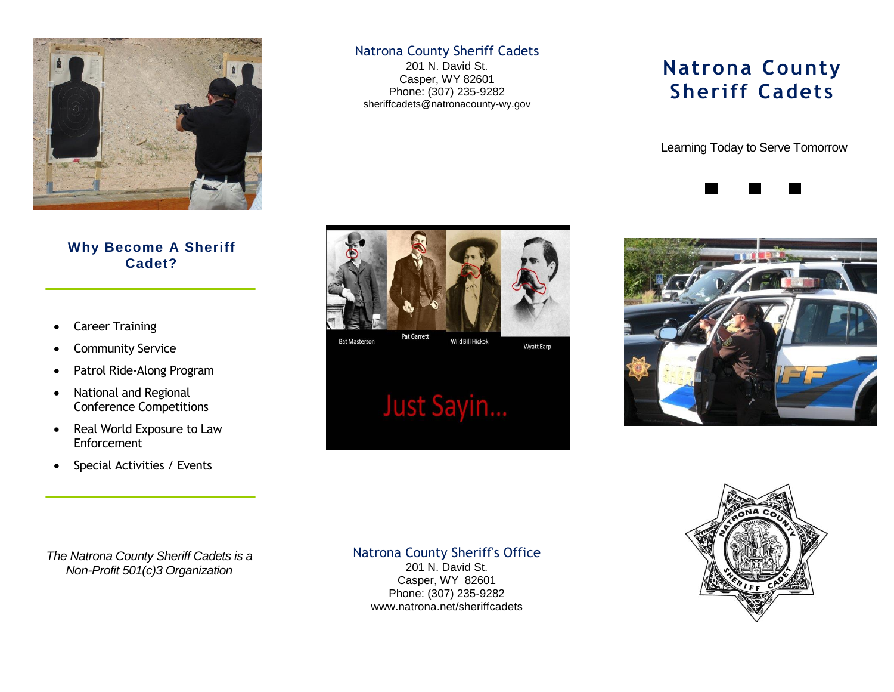

### **Why Become A Sheriff Cadet?**

- Career Training
- Community Service
- Patrol Ride-Along Program
- National and Regional Conference Competitions
- Real World Exposure to Law Enforcement
- Special Activities / Events

### Natrona County Sheriff Cadets

201 N. David St. Casper, WY 82601 Phone: (307) 235-9282 sheriffcadets@natronacounty-wy.gov



#### **Bat Masterson**

Wild Bill Hickok **Wyatt Earp** 

# Just Sayin...

## **Natrona County Sheriff Cadets**

Learning Today to Serve Tomorrow







*The Natrona County Sheriff Cadets is a Non-Profit 501(c)3 Organization*

Natrona County Sheriff's Office

201 N. David St. Casper, WY 82601 Phone: (307) 235-9282 www.natrona.net/sheriffcadets